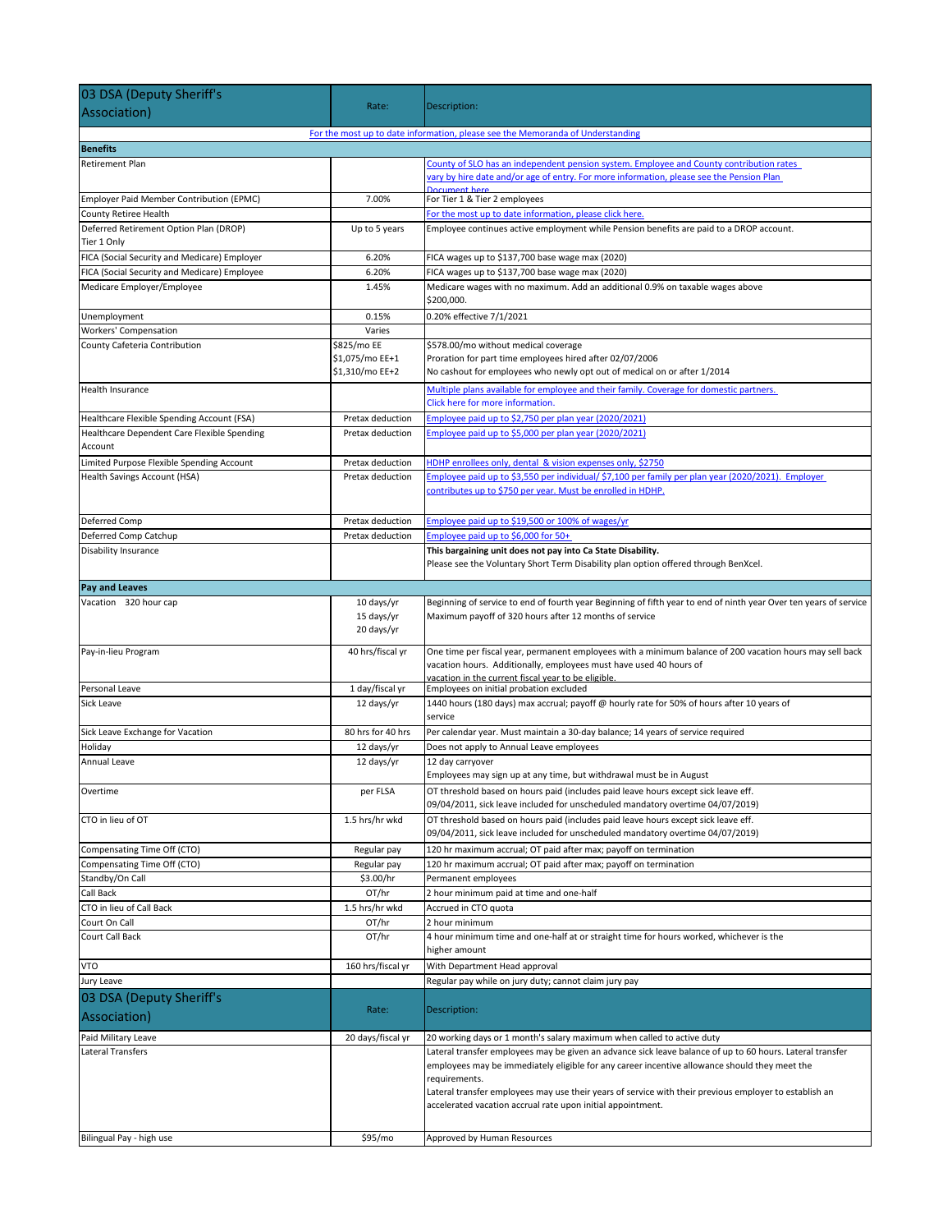| 03 DSA (Deputy Sheriff's                                                  |                                        |                                                                                                                                                                                                                                                                                                                                                                                                      |
|---------------------------------------------------------------------------|----------------------------------------|------------------------------------------------------------------------------------------------------------------------------------------------------------------------------------------------------------------------------------------------------------------------------------------------------------------------------------------------------------------------------------------------------|
| Association)                                                              | Rate:                                  | Description:                                                                                                                                                                                                                                                                                                                                                                                         |
|                                                                           |                                        | For the most up to date information, please see the Memoranda of Understanding                                                                                                                                                                                                                                                                                                                       |
| <b>Benefits</b>                                                           |                                        |                                                                                                                                                                                                                                                                                                                                                                                                      |
| Retirement Plan                                                           |                                        | County of SLO has an independent pension system. Employee and County contribution rates<br>vary by hire date and/or age of entry. For more information, please see the Pension Plan                                                                                                                                                                                                                  |
| Employer Paid Member Contribution (EPMC)                                  | 7.00%                                  | Document here<br>For Tier 1 & Tier 2 employees                                                                                                                                                                                                                                                                                                                                                       |
| County Retiree Health                                                     |                                        | For the most up to date information, please click here.                                                                                                                                                                                                                                                                                                                                              |
| Deferred Retirement Option Plan (DROP)<br>Tier 1 Only                     | Up to 5 years                          | Employee continues active employment while Pension benefits are paid to a DROP account.                                                                                                                                                                                                                                                                                                              |
| FICA (Social Security and Medicare) Employer                              | 6.20%                                  | FICA wages up to \$137,700 base wage max (2020)                                                                                                                                                                                                                                                                                                                                                      |
| FICA (Social Security and Medicare) Employee                              | 6.20%                                  | FICA wages up to \$137,700 base wage max (2020)                                                                                                                                                                                                                                                                                                                                                      |
| Medicare Employer/Employee                                                | 1.45%                                  | Medicare wages with no maximum. Add an additional 0.9% on taxable wages above<br>\$200,000.                                                                                                                                                                                                                                                                                                          |
| Unemployment                                                              | 0.15%                                  | 0.20% effective 7/1/2021                                                                                                                                                                                                                                                                                                                                                                             |
| <b>Workers' Compensation</b><br>County Cafeteria Contribution             | Varies<br>\$825/mo EE                  | \$578.00/mo without medical coverage                                                                                                                                                                                                                                                                                                                                                                 |
|                                                                           | \$1,075/mo EE+1<br>\$1,310/mo EE+2     | Proration for part time employees hired after 02/07/2006<br>No cashout for employees who newly opt out of medical on or after 1/2014                                                                                                                                                                                                                                                                 |
| Health Insurance                                                          |                                        | Multiple plans available for employee and their family. Coverage for domestic partners.<br>Click here for more information.                                                                                                                                                                                                                                                                          |
| Healthcare Flexible Spending Account (FSA)                                | Pretax deduction                       | Employee paid up to \$2,750 per plan year (2020/2021)                                                                                                                                                                                                                                                                                                                                                |
| Healthcare Dependent Care Flexible Spending                               | Pretax deduction                       | Employee paid up to \$5,000 per plan year (2020/2021)                                                                                                                                                                                                                                                                                                                                                |
| Account                                                                   |                                        | HDHP enrollees only, dental & vision expenses only, \$2750                                                                                                                                                                                                                                                                                                                                           |
| Limited Purpose Flexible Spending Account<br>Health Savings Account (HSA) | Pretax deduction<br>Pretax deduction   | Employee paid up to \$3,550 per individual/ \$7,100 per family per plan year (2020/2021). Employer                                                                                                                                                                                                                                                                                                   |
|                                                                           |                                        | contributes up to \$750 per year. Must be enrolled in HDHP.                                                                                                                                                                                                                                                                                                                                          |
| Deferred Comp                                                             | Pretax deduction                       | Employee paid up to \$19,500 or 100% of wages/yr                                                                                                                                                                                                                                                                                                                                                     |
| Deferred Comp Catchup                                                     | Pretax deduction                       | Employee paid up to \$6,000 for 50+                                                                                                                                                                                                                                                                                                                                                                  |
| Disability Insurance                                                      |                                        | This bargaining unit does not pay into Ca State Disability.<br>Please see the Voluntary Short Term Disability plan option offered through BenXcel.                                                                                                                                                                                                                                                   |
| <b>Pay and Leaves</b>                                                     |                                        |                                                                                                                                                                                                                                                                                                                                                                                                      |
| Vacation 320 hour cap                                                     | 10 days/yr<br>15 days/yr<br>20 days/yr | Beginning of service to end of fourth year Beginning of fifth year to end of ninth year Over ten years of service<br>Maximum payoff of 320 hours after 12 months of service                                                                                                                                                                                                                          |
| Pay-in-lieu Program                                                       | 40 hrs/fiscal yr                       | One time per fiscal year, permanent employees with a minimum balance of 200 vacation hours may sell back<br>vacation hours. Additionally, employees must have used 40 hours of                                                                                                                                                                                                                       |
| Personal Leave                                                            | 1 day/fiscal yr                        | vacation in the current fiscal vear to be eligible.<br>Employees on initial probation excluded                                                                                                                                                                                                                                                                                                       |
| Sick Leave                                                                | 12 days/yr                             | 1440 hours (180 days) max accrual; payoff @ hourly rate for 50% of hours after 10 years of<br>service                                                                                                                                                                                                                                                                                                |
| Sick Leave Exchange for Vacation                                          | 80 hrs for 40 hrs                      | Per calendar year. Must maintain a 30-day balance; 14 years of service required                                                                                                                                                                                                                                                                                                                      |
| Holiday                                                                   | 12 days/yr                             | Does not apply to Annual Leave employees                                                                                                                                                                                                                                                                                                                                                             |
| Annual Leave                                                              | 12 days/yr                             | 12 day carryover<br>Employees may sign up at any time, but withdrawal must be in August                                                                                                                                                                                                                                                                                                              |
| Overtime                                                                  | per FLSA                               | OT threshold based on hours paid (includes paid leave hours except sick leave eff.<br>09/04/2011, sick leave included for unscheduled mandatory overtime 04/07/2019)                                                                                                                                                                                                                                 |
| CTO in lieu of OT                                                         | 1.5 hrs/hr wkd                         | OT threshold based on hours paid (includes paid leave hours except sick leave eff.<br>09/04/2011, sick leave included for unscheduled mandatory overtime 04/07/2019)                                                                                                                                                                                                                                 |
| Compensating Time Off (CTO)                                               | Regular pay                            | 120 hr maximum accrual; OT paid after max; payoff on termination                                                                                                                                                                                                                                                                                                                                     |
| Compensating Time Off (CTO)                                               | Regular pay                            | 120 hr maximum accrual; OT paid after max; payoff on termination                                                                                                                                                                                                                                                                                                                                     |
| Standby/On Call                                                           | \$3.00/hr                              | Permanent employees                                                                                                                                                                                                                                                                                                                                                                                  |
| Call Back<br>CTO in lieu of Call Back                                     | OT/hr<br>1.5 hrs/hr wkd                | 2 hour minimum paid at time and one-half<br>Accrued in CTO quota                                                                                                                                                                                                                                                                                                                                     |
| Court On Call                                                             | OT/hr                                  | 2 hour minimum                                                                                                                                                                                                                                                                                                                                                                                       |
| Court Call Back                                                           | OT/hr                                  | 4 hour minimum time and one-half at or straight time for hours worked, whichever is the<br>higher amount                                                                                                                                                                                                                                                                                             |
| <b>VTO</b>                                                                | 160 hrs/fiscal yr                      | With Department Head approval                                                                                                                                                                                                                                                                                                                                                                        |
| Jury Leave                                                                |                                        | Regular pay while on jury duty; cannot claim jury pay                                                                                                                                                                                                                                                                                                                                                |
| 03 DSA (Deputy Sheriff's<br>Association)                                  | Rate:                                  | Description:                                                                                                                                                                                                                                                                                                                                                                                         |
| Paid Military Leave                                                       | 20 days/fiscal yr                      | 20 working days or 1 month's salary maximum when called to active duty                                                                                                                                                                                                                                                                                                                               |
| Lateral Transfers                                                         |                                        | Lateral transfer employees may be given an advance sick leave balance of up to 60 hours. Lateral transfer<br>employees may be immediately eligible for any career incentive allowance should they meet the<br>requirements.<br>Lateral transfer employees may use their years of service with their previous employer to establish an<br>accelerated vacation accrual rate upon initial appointment. |
| Bilingual Pay - high use                                                  | \$95/mo                                | Approved by Human Resources                                                                                                                                                                                                                                                                                                                                                                          |